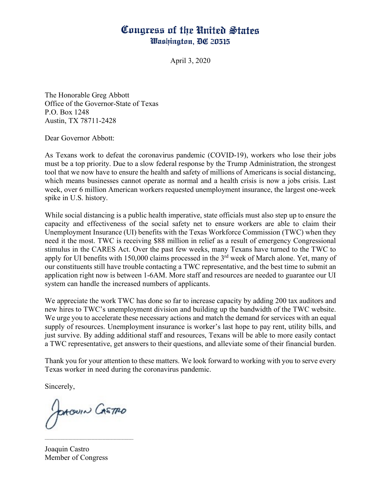## Congress of the United States Washington, DC 20515

April 3, 2020

The Honorable Greg Abbott Office of the Governor-State of Texas P.O. Box 1248 Austin, TX 78711-2428

Dear Governor Abbott:

As Texans work to defeat the coronavirus pandemic (COVID-19), workers who lose their jobs must be a top priority. Due to a slow federal response by the Trump Administration, the strongest tool that we now have to ensure the health and safety of millions of Americans is social distancing, which means businesses cannot operate as normal and a health crisis is now a jobs crisis. Last week, over 6 million American workers requested unemployment insurance, the largest one-week spike in U.S. history.

While social distancing is a public health imperative, state officials must also step up to ensure the capacity and effectiveness of the social safety net to ensure workers are able to claim their Unemployment Insurance (UI) benefits with the Texas Workforce Commission (TWC) when they need it the most. TWC is receiving \$88 million in relief as a result of emergency Congressional stimulus in the CARES Act. Over the past few weeks, many Texans have turned to the TWC to apply for UI benefits with 150,000 claims processed in the 3rd week of March alone. Yet, many of our constituents still have trouble contacting a TWC representative, and the best time to submit an application right now is between 1-6AM. More staff and resources are needed to guarantee our UI system can handle the increased numbers of applicants.

We appreciate the work TWC has done so far to increase capacity by adding 200 tax auditors and new hires to TWC's unemployment division and building up the bandwidth of the TWC website. We urge you to accelerate these necessary actions and match the demand for services with an equal supply of resources. Unemployment insurance is worker's last hope to pay rent, utility bills, and just survive. By adding additional staff and resources, Texans will be able to more easily contact a TWC representative, get answers to their questions, and alleviate some of their financial burden.

Thank you for your attention to these matters. We look forward to working with you to serve every Texas worker in need during the coronavirus pandemic.

Sincerely,

JOACOUIN CASTRO

Joaquin Castro Member of Congress